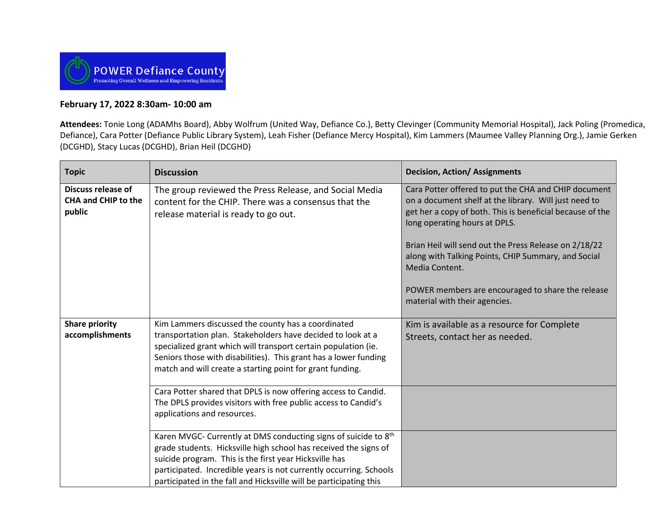

## **February 17, 2022 8:30am- 10:00 am**

**Attendees:** Tonie Long (ADAMhs Board), Abby Wolfrum (United Way, Defiance Co.), Betty Clevinger (Community Memorial Hospital), Jack Poling (Promedica, Defiance), Cara Potter (Defiance Public Library System), Leah Fisher (Defiance Mercy Hospital), Kim Lammers (Maumee Valley Planning Org.), Jamie Gerken (DCGHD), Stacy Lucas (DCGHD), Brian Heil (DCGHD)

| <b>Topic</b>                                                      | <b>Discussion</b>                                                                                                                                                                                                                                                                                                                                     | <b>Decision, Action/ Assignments</b>                                                                                                                                                                                                                                                                                                                                                                                                |
|-------------------------------------------------------------------|-------------------------------------------------------------------------------------------------------------------------------------------------------------------------------------------------------------------------------------------------------------------------------------------------------------------------------------------------------|-------------------------------------------------------------------------------------------------------------------------------------------------------------------------------------------------------------------------------------------------------------------------------------------------------------------------------------------------------------------------------------------------------------------------------------|
| <b>Discuss release of</b><br><b>CHA and CHIP to the</b><br>public | The group reviewed the Press Release, and Social Media<br>content for the CHIP. There was a consensus that the<br>release material is ready to go out.                                                                                                                                                                                                | Cara Potter offered to put the CHA and CHIP document<br>on a document shelf at the library. Will just need to<br>get her a copy of both. This is beneficial because of the<br>long operating hours at DPLS.<br>Brian Heil will send out the Press Release on 2/18/22<br>along with Talking Points, CHIP Summary, and Social<br>Media Content.<br>POWER members are encouraged to share the release<br>material with their agencies. |
| <b>Share priority</b><br>accomplishments                          | Kim Lammers discussed the county has a coordinated<br>transportation plan. Stakeholders have decided to look at a<br>specialized grant which will transport certain population (ie.<br>Seniors those with disabilities). This grant has a lower funding<br>match and will create a starting point for grant funding.                                  | Kim is available as a resource for Complete<br>Streets, contact her as needed.                                                                                                                                                                                                                                                                                                                                                      |
|                                                                   | Cara Potter shared that DPLS is now offering access to Candid.<br>The DPLS provides visitors with free public access to Candid's<br>applications and resources.                                                                                                                                                                                       |                                                                                                                                                                                                                                                                                                                                                                                                                                     |
|                                                                   | Karen MVGC- Currently at DMS conducting signs of suicide to 8 <sup>th</sup><br>grade students. Hicksville high school has received the signs of<br>suicide program. This is the first year Hicksville has<br>participated. Incredible years is not currently occurring. Schools<br>participated in the fall and Hicksville will be participating this |                                                                                                                                                                                                                                                                                                                                                                                                                                     |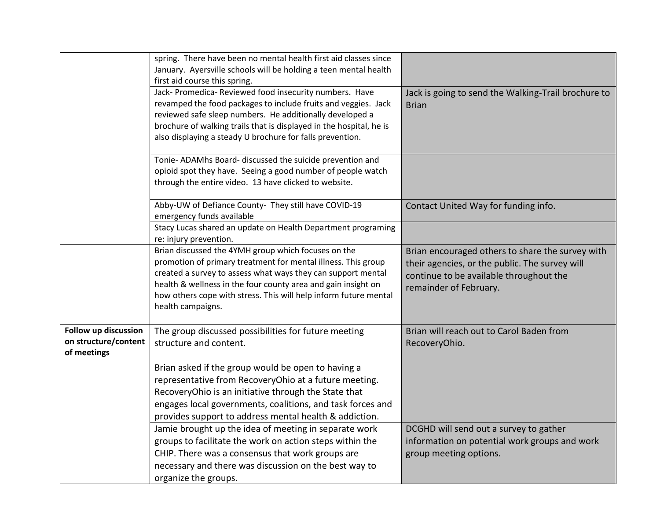|                                                             | spring. There have been no mental health first aid classes since<br>January. Ayersville schools will be holding a teen mental health<br>first aid course this spring.                                                                                                                                                                          |                                                                                                                                                                         |
|-------------------------------------------------------------|------------------------------------------------------------------------------------------------------------------------------------------------------------------------------------------------------------------------------------------------------------------------------------------------------------------------------------------------|-------------------------------------------------------------------------------------------------------------------------------------------------------------------------|
|                                                             | Jack- Promedica- Reviewed food insecurity numbers. Have<br>revamped the food packages to include fruits and veggies. Jack<br>reviewed safe sleep numbers. He additionally developed a<br>brochure of walking trails that is displayed in the hospital, he is<br>also displaying a steady U brochure for falls prevention.                      | Jack is going to send the Walking-Trail brochure to<br><b>Brian</b>                                                                                                     |
|                                                             | Tonie- ADAMhs Board- discussed the suicide prevention and<br>opioid spot they have. Seeing a good number of people watch<br>through the entire video. 13 have clicked to website.                                                                                                                                                              |                                                                                                                                                                         |
|                                                             | Abby-UW of Defiance County- They still have COVID-19<br>emergency funds available                                                                                                                                                                                                                                                              | Contact United Way for funding info.                                                                                                                                    |
|                                                             | Stacy Lucas shared an update on Health Department programing<br>re: injury prevention.                                                                                                                                                                                                                                                         |                                                                                                                                                                         |
|                                                             | Brian discussed the 4YMH group which focuses on the<br>promotion of primary treatment for mental illness. This group<br>created a survey to assess what ways they can support mental<br>health & wellness in the four county area and gain insight on<br>how others cope with stress. This will help inform future mental<br>health campaigns. | Brian encouraged others to share the survey with<br>their agencies, or the public. The survey will<br>continue to be available throughout the<br>remainder of February. |
| Follow up discussion<br>on structure/content<br>of meetings | The group discussed possibilities for future meeting<br>structure and content.                                                                                                                                                                                                                                                                 | Brian will reach out to Carol Baden from<br>RecoveryOhio.                                                                                                               |
|                                                             | Brian asked if the group would be open to having a<br>representative from RecoveryOhio at a future meeting.<br>RecoveryOhio is an initiative through the State that<br>engages local governments, coalitions, and task forces and<br>provides support to address mental health & addiction.                                                    |                                                                                                                                                                         |
|                                                             | Jamie brought up the idea of meeting in separate work<br>groups to facilitate the work on action steps within the<br>CHIP. There was a consensus that work groups are<br>necessary and there was discussion on the best way to<br>organize the groups.                                                                                         | DCGHD will send out a survey to gather<br>information on potential work groups and work<br>group meeting options.                                                       |